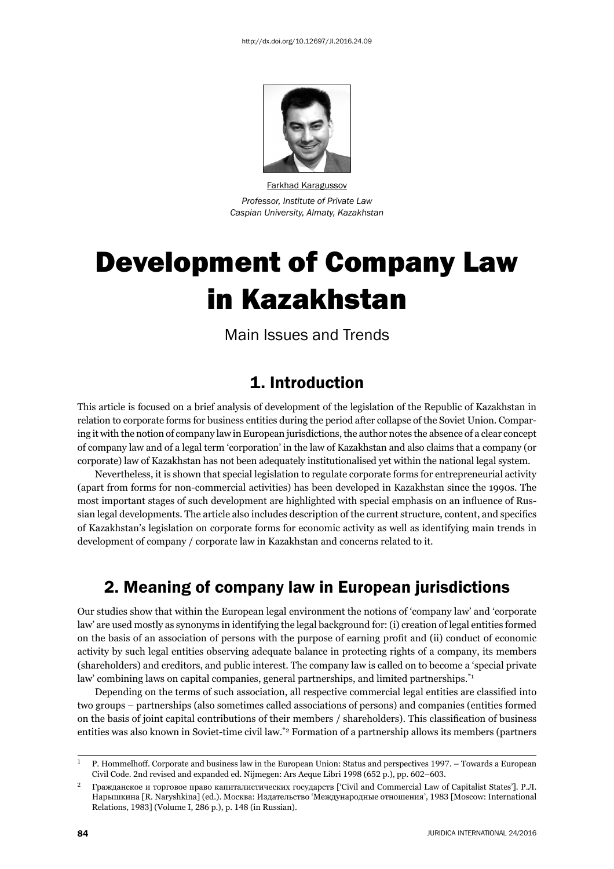

Farkhad Karagussov *Professor, Institute of Private Law Caspian University, Almaty, Kazakhstan*

# Development of Company Law in Kazakhstan

Main Issues and Trends

#### 1. Introduction

This article is focused on a brief analysis of development of the legislation of the Republic of Kazakhstan in relation to corporate forms for business entities during the period after collapse of the Soviet Union. Comparing it with the notion of company law in European jurisdictions, the author notes the absence of a clear concept of company law and of a legal term 'corporation' in the law of Kazakhstan and also claims that a company (or corporate) law of Kazakhstan has not been adequately institutionalised yet within the national legal system.

Nevertheless, it is shown that special legislation to regulate corporate forms for entrepreneurial activity (apart from forms for non-commercial activities) has been developed in Kazakhstan since the 1990s. The most important stages of such development are highlighted with special emphasis on an influence of Russian legal developments. The article also includes description of the current structure, content, and specifics of Kazakhstan's legislation on corporate forms for economic activity as well as identifying main trends in development of company / corporate law in Kazakhstan and concerns related to it.

# 2. Meaning of company law in European jurisdictions

Our studies show that within the European legal environment the notions of 'company law' and 'corporate law' are used mostly as synonyms in identifying the legal background for: (i) creation of legal entities formed on the basis of an association of persons with the purpose of earning profi t and (ii) conduct of economic activity by such legal entities observing adequate balance in protecting rights of a company, its members (shareholders) and creditors, and public interest. The company law is called on to become a 'special private law' combining laws on capital companies, general partnerships, and limited partnerships.<sup>\*1</sup>

Depending on the terms of such association, all respective commercial legal entities are classified into two groups – partnerships (also sometimes called associations of persons) and companies (entities formed on the basis of joint capital contributions of their members / shareholders). This classification of business entities was also known in Soviet-time civil law.\*2 Formation of a partnership allows its members (partners

 $\mu$  P. Hommelhoff. Corporate and business law in the European Union: Status and perspectives 1997. – Towards a European Civil Code. 2nd revised and expanded ed. Nijmegen: Ars Aeque Libri 1998 (652 p.), pp. 602–603.

<sup>&</sup>lt;sup>2</sup> Гражданское и торговое право капиталистических государств ['Civil and Commercial Law of Capitalist States']. Р.Л. Нарышкина [R. Naryshkina] (ed.). Москва: Издательство 'Международные отношения', 1983 [Moscow: International Relations, 1983] (Volume I, 286 p.), p. 148 (in Russian).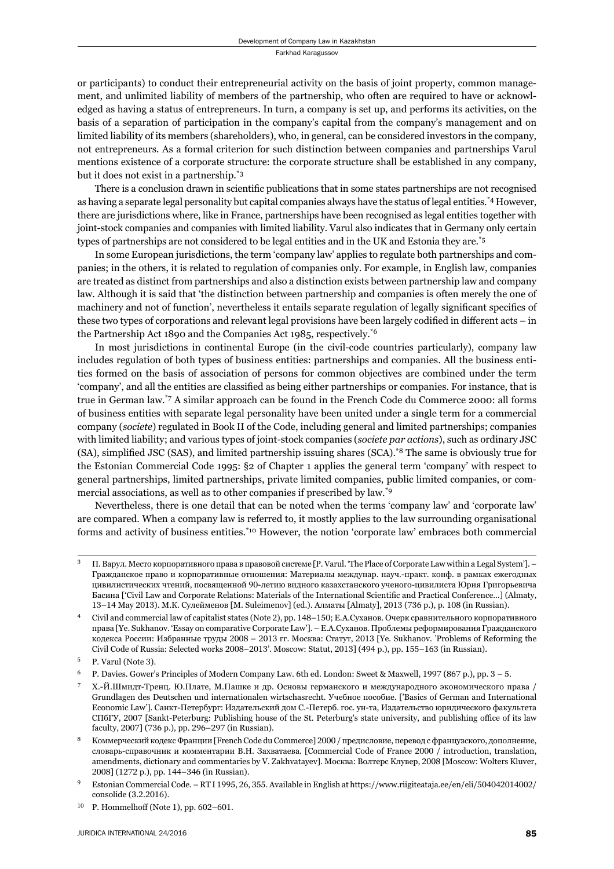or participants) to conduct their entrepreneurial activity on the basis of joint property, common management, and unlimited liability of members of the partnership, who often are required to have or acknowledged as having a status of entrepreneurs. In turn, a company is set up, and performs its activities, on the basis of a separation of participation in the company's capital from the company's management and on limited liability of its members (shareholders), who, in general, can be considered investors in the company, not entrepreneurs*.* As a formal criterion for such distinction between companies and partnerships Varul mentions existence of a corporate structure: the corporate structure shall be established in any company, but it does not exist in a partnership.\*3

There is a conclusion drawn in scientific publications that in some states partnerships are not recognised as having a separate legal personality but capital companies always have the status of legal entities.<sup>\*4</sup> However, there are jurisdictions where, like in France, partnerships have been recognised as legal entities together with joint-stock companies and companies with limited liability. Varul also indicates that in Germany only certain types of partnerships are not considered to be legal entities and in the UK and Estonia they are.\*5

In some European jurisdictions, the term 'company law' applies to regulate both partnerships and companies; in the others, it is related to regulation of companies only. For example, in English law, companies are treated as distinct from partnerships and also a distinction exists between partnership law and company law. Although it is said that 'the distinction between partnership and companies is often merely the one of machinery and not of function', nevertheless it entails separate regulation of legally significant specifics of these two types of corporations and relevant legal provisions have been largely codified in different acts – in the Partnership Act 1890 and the Companies Act 1985, respectively.\*6

In most jurisdictions in continental Europe (in the civil-code countries particularly), company law includes regulation of both types of business entities: partnerships and companies. All the business entities formed on the basis of association of persons for common objectives are combined under the term 'company', and all the entities are classified as being either partnerships or companies. For instance, that is true in German law.\*7 A similar approach can be found in the French Code du Commerce 2000: all forms of business entities with separate legal personality have been united under a single term for a commercial company (*societe*) regulated in Book II of the Code, including general and limited partnerships; companies with limited liability; and various types of joint-stock companies (*societe par actions*), such as ordinary JSC (SA), simplified JSC (SAS), and limited partnership issuing shares (SCA).<sup>\*8</sup> The same is obviously true for the Estonian Commercial Code 1995: §2 of Chapter 1 applies the general term 'company' with respect to general partnerships, limited partnerships, private limited companies, public limited companies, or commercial associations, as well as to other companies if prescribed by law.\*9

Nevertheless, there is one detail that can be noted when the terms 'company law' and 'corporate law' are compared. When a company law is referred to, it mostly applies to the law surrounding organisational forms and activity of business entities.\*10 However, the notion 'corporate law' embraces both commercial

<sup>ɴ</sup> П. Варул. Место корпоративного права в правовой системе [P. Varul. 'The Place of Corporate Law within a Legal System']. – Гражданское право и корпоративные отношения: Материалы междунар. науч.-практ. конф. в рамках ежегодных цивилистических чтений, посвященной 90-летию видного казахстанского ученого-цивилиста Юрия Григорьевича Басина ['Civil Law and Corporate Relations: Materials of the International Scientifi c and Practical Conference…] (Almaty, 13-14 May 2013). М.К. Сулейменов [M. Suleimenov] (ed.). Алматы [Almaty], 2013 (736 p.), p. 108 (in Russian).

Civil and commercial law of capitalist states (Note 2), pp. 148-150; Е.А.Суханов. Очерк сравнительного корпоративного права [Ye. Sukhanov. 'Essay on comparative Corporate Law']. – Е.А.Суханов. Проблемы реформирования Гражданского кодекса России: Избранные труды 2008 – 2013 гг. Москва: Статут, 2013 [Ye. Sukhanov. 'Problems of Reforming the Civil Code of Russia: Selected works 2008-2013'. Moscow: Statut, 2013] (494 p.), pp. 155-163 (in Russian).

P. Varul (Note 3).

 $^6$  P. Davies. Gower's Principles of Modern Company Law. 6th ed. London: Sweet & Maxwell, 1997 (867 p.), pp.  $3-5$ .

<sup>ɸ</sup> Х.-Й.Шмидт-Тренц. Ю.Плате, М.Пашке и др. Основы германского и международного экономического права / Grundlagen des Deutschen und internationalen wirtschasrecht. Учебное пособие. ['Basics of German and International Economic Law']. Санкт-Петербург: Издательский дом С.-Петерб. гос. ун-та, Издательство юридического факультета СПбГУ, 2007 [Sankt-Peterburg: Publishing house of the St. Peterburg's state university, and publishing office of its law faculty, 2007] (736 p.), pp. 296-297 (in Russian).

Коммерческий кодекс Франции [French Code du Commerce] 2000 / предисловие, перевод с французского, дополнение, словарь-справочник и комментарии В.Н. Захватаева. [Commercial Code of France ɳɱɱɱ / introduction, translation, amendments, dictionary and commentaries by V. Zakhvatayev]. Москва: Волтерс Клувер, 2008 [Moscow: Wolters Kluver, 2008] (1272 p.), pp. 144-346 (in Russian).

Estonian Commercial Code. – RT I 1995, 26, 355. Available in English at https://www.riigiteataja.ee/en/eli/504042014002/ consolide (3.2.2016).

 $^{10}$  P. Hommelhoff (Note 1), pp. 602-601.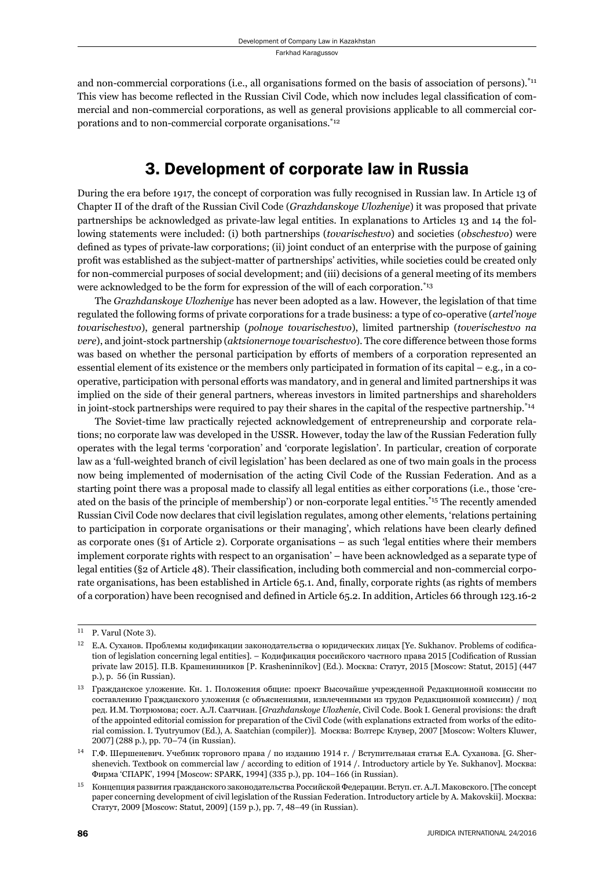and non-commercial corporations (i.e., all organisations formed on the basis of association of persons).\*11 This view has become reflected in the Russian Civil Code, which now includes legal classification of commercial and non-commercial corporations, as well as general provisions applicable to all commercial corporations and to non-commercial corporate organisations.\*12

#### 3. Development of corporate law in Russia

During the era before 1917, the concept of corporation was fully recognised in Russian law. In Article 13 of Chapter II of the draft of the Russian Civil Code (*Grazhdanskoye Ulozheniye*) it was proposed that private partnerships be acknowledged as private-law legal entities. In explanations to Articles 13 and 14 the following statements were included: (i) both partnerships (*tovarischestvo*) and societies (*obschestvo*) were defined as types of private-law corporations; (ii) joint conduct of an enterprise with the purpose of gaining profi t was established as the subject-matter of partnerships' activities, while societies could be created only for non-commercial purposes of social development; and (iii) decisions of a general meeting of its members were acknowledged to be the form for expression of the will of each corporation.\*13

The *Grazhdanskoye Ulozheniye* has never been adopted as a law. However, the legislation of that time regulated the following forms of private corporations for a trade business: a type of co-operative (*artel'noye tovarischestvo*), general partnership (*polnoye tovarischestvo*), limited partnership (*toverischestvo na vere*), and joint-stock partnership (*aktsionernoye tovarischestvo*). The core difference between those forms was based on whether the personal participation by efforts of members of a corporation represented an essential element of its existence or the members only participated in formation of its capital – e.g*.*, in a cooperative, participation with personal efforts was mandatory, and in general and limited partnerships it was implied on the side of their general partners, whereas investors in limited partnerships and shareholders in joint-stock partnerships were required to pay their shares in the capital of the respective partnership.<sup>\*14</sup>

The Soviet-time law practically rejected acknowledgement of entrepreneurship and corporate relations; no corporate law was developed in the USSR. However, today the law of the Russian Federation fully operates with the legal terms 'corporation' and 'corporate legislation'. In particular, creation of corporate law as a 'full-weighted branch of civil legislation' has been declared as one of two main goals in the process now being implemented of modernisation of the acting Civil Code of the Russian Federation. And as a starting point there was a proposal made to classify all legal entities as either corporations (i.e., those 'created on the basis of the principle of membership') or non-corporate legal entities.<sup>\*15</sup> The recently amended Russian Civil Code now declares that civil legislation regulates, among other elements, 'relations pertaining to participation in corporate organisations or their managing', which relations have been clearly defined as corporate ones (§1 of Article 2). Corporate organisations – as such 'legal entities where their members implement corporate rights with respect to an organisation' – have been acknowledged as a separate type of legal entities (§2 of Article 48). Their classification, including both commercial and non-commercial corporate organisations, has been established in Article 65.1. And, finally, corporate rights (as rights of members of a corporation) have been recognised and defined in Article 65.2. In addition, Articles 66 through 123.16-2

 $11$  P. Varul (Note 3).

 $12$  Е.А. Суханов. Проблемы кодификации законодательства о юридических лицах [Ye. Sukhanov. Problems of codification of legislation concerning legal entities]. – Кодификация российского частного права 2015 [Codification of Russian private law 2015]. П.В. Крашенинников [P. Krasheninnikov] (Ed.). Москва: Статут, 2015 [Moscow: Statut, 2015] (447 p.), p. 56 (in Russian).

 $13$  Гражданское уложение. Кн. 1. Положения общие: проект Высочайше учрежденной Редакционной комиссии по составлению Гражданского уложения (с объяснениями, извлеченными из трудов Редакционной комиссии) / под ред. И.М. Тютрюмова; сост. А.Л. Саатчиан. [*Grazhdanskoye Ulozhenie*, Civil Code. Book I. General provisions: the draft of the appointed editorial comission for preparation of the Civil Code (with explanations extracted from works of the editorial comission. I. Tyutryumov (Ed.), A. Saatchian (compiler)]. Москва: Волтерс Клувер, 2007 [Moscow: Wolters Kluwer, 2007] (288 p.), pp. 70-74 (in Russian).

<sup>&</sup>lt;sup>14</sup> Г.Ф. Шершеневич. Учебник торгового права / по изданию 1914 г. / Вступительная статья Е.А. Суханова. [G. Shershenevich. Textbook on commercial law / according to edition of 1914 /. Introductory article by Ye. Sukhanov]. Москва: Фирма 'СПАРК', 1994 [Moscow: SPARK, 1994] (335 p.), pp. 104-166 (in Russian).

<sup>&</sup>lt;sup>15</sup> Концепция развития гражданского законодательства Российской Федерации. Вступ. ст. А.Л. Маковского. [The concept paper concerning development of civil legislation of the Russian Federation. Introductory article by A. Makovskii]. Москва: Статут, 2009 [Moscow: Statut, 2009] (159 p.), pp. 7, 48-49 (in Russian).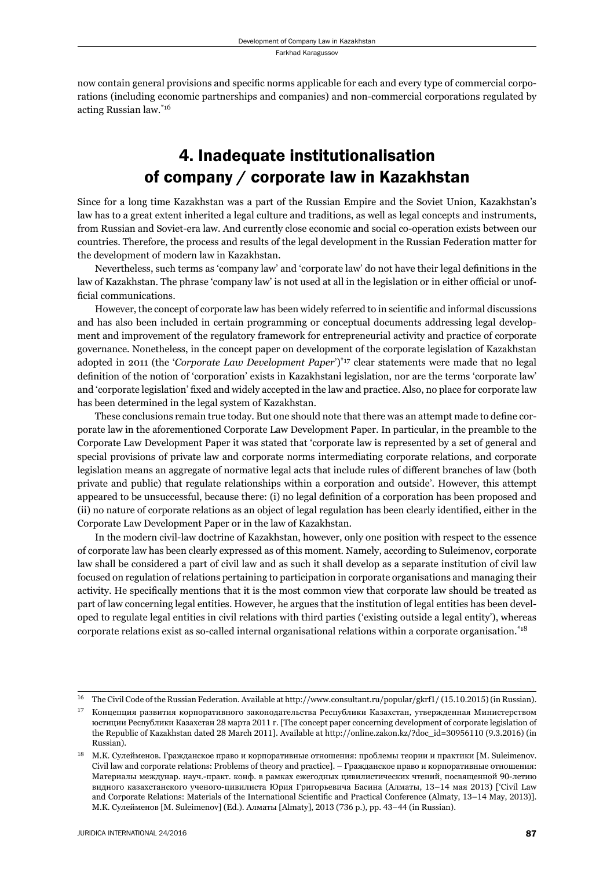now contain general provisions and specific norms applicable for each and every type of commercial corporations (including economic partnerships and companies) and non-commercial corporations regulated by acting Russian law.\*16

# 4. Inadequate institutionalisation of company / corporate law in Kazakhstan

Since for a long time Kazakhstan was a part of the Russian Empire and the Soviet Union, Kazakhstan's law has to a great extent inherited a legal culture and traditions, as well as legal concepts and instruments, from Russian and Soviet-era law. And currently close economic and social co-operation exists between our countries. Therefore, the process and results of the legal development in the Russian Federation matter for the development of modern law in Kazakhstan.

Nevertheless, such terms as 'company law' and 'corporate law' do not have their legal definitions in the law of Kazakhstan. The phrase 'company law' is not used at all in the legislation or in either official or unofficial communications.

However, the concept of corporate law has been widely referred to in scientific and informal discussions and has also been included in certain programming or conceptual documents addressing legal development and improvement of the regulatory framework for entrepreneurial activity and practice of corporate governance. Nonetheless, in the concept paper on development of the corporate legislation of Kazakhstan adopted in 2011 (the '*Corporate Law Development Paper*')\*17 clear statements were made that no legal definition of the notion of 'corporation' exists in Kazakhstani legislation, nor are the terms 'corporate law' and 'corporate legislation' fixed and widely accepted in the law and practice. Also, no place for corporate law has been determined in the legal system of Kazakhstan.

These conclusions remain true today. But one should note that there was an attempt made to define corporate law in the aforementioned Corporate Law Development Paper. In particular, in the preamble to the Corporate Law Development Paper it was stated that 'corporate law is represented by a set of general and special provisions of private law and corporate norms intermediating corporate relations, and corporate legislation means an aggregate of normative legal acts that include rules of different branches of law (both private and public) that regulate relationships within a corporation and outside'. However, this attempt appeared to be unsuccessful, because there: (i) no legal definition of a corporation has been proposed and (ii) no nature of corporate relations as an object of legal regulation has been clearly identified, either in the Corporate Law Development Paper or in the law of Kazakhstan.

In the modern civil-law doctrine of Kazakhstan, however, only one position with respect to the essence of corporate law has been clearly expressed as of this moment. Namely, according to Suleimenov, corporate law shall be considered a part of civil law and as such it shall develop as a separate institution of civil law focused on regulation of relations pertaining to participation in corporate organisations and managing their activity. He specifically mentions that it is the most common view that corporate law should be treated as part of law concerning legal entities. However, he argues that the institution of legal entities has been developed to regulate legal entities in civil relations with third parties ('existing outside a legal entity'), whereas corporate relations exist as so-called internal organisational relations within a corporate organisation.\*18

The Civil Code of the Russian Federation. Available at http://www.consultant.ru/popular/gkrf1/ (15.10.2015) (in Russian).

<sup>17</sup> Концепция развития корпоративного законодательства Республики Казахстан, утвержденная Министерством юстиции Республики Казахстан 28 марта 2011 г. [The concept paper concerning development of corporate legislation of the Republic of Kazakhstan dated 28 March 2011]. Available at http://online.zakon.kz/?doc\_id=30956110 (9.3.2016) (in Russian).

<sup>&</sup>lt;sup>18</sup> М.К. Сулейменов. Гражданское право и корпоративные отношения: проблемы теории и практики [M. Suleimenov. Civil law and corporate relations: Problems of theory and practice]. – Гражданское право и корпоративные отношения: Материалы междунар. науч.-практ. конф. в рамках ежегодных цивилистических чтений, посвященной 90-летию видного казахстанского ученого-цивилиста Юрия Григорьевича Басина (Алматы, 13-14 мая 2013) ['Civil Law and Corporate Relations: Materials of the International Scientific and Practical Conference (Almaty, 13-14 May, 2013)]. М.К. Сулейменов [M. Suleimenov] (Ed.). Алматы [Almaty], 2013 (736 р.), pp. 43-44 (in Russian).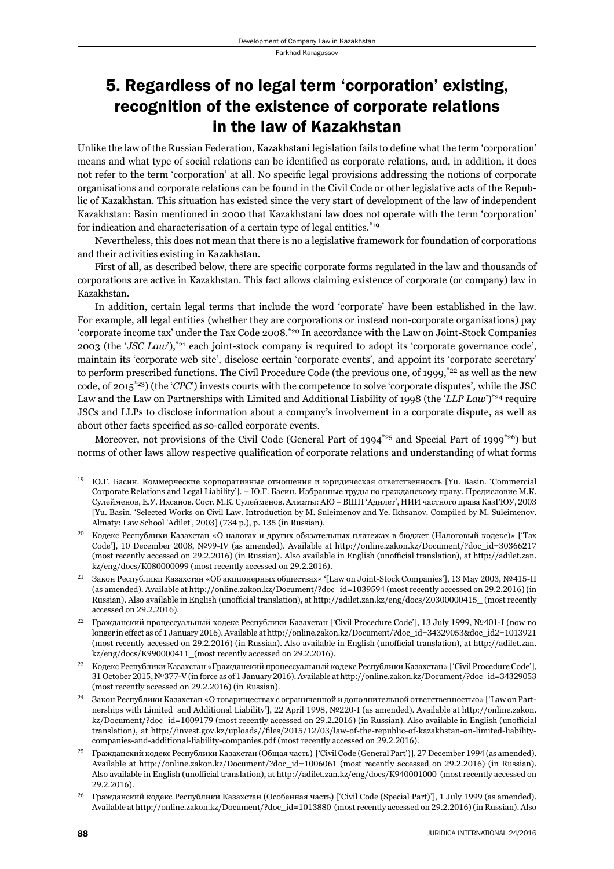### 5. Regardless of no legal term 'corporation' existing, recognition of the existence of corporate relations in the law of Kazakhstan

Unlike the law of the Russian Federation, Kazakhstani legislation fails to define what the term 'corporation' means and what type of social relations can be identified as corporate relations, and, in addition, it does not refer to the term 'corporation' at all. No specific legal provisions addressing the notions of corporate organisations and corporate relations can be found in the Civil Code or other legislative acts of the Republic of Kazakhstan. This situation has existed since the very start of development of the law of independent Kazakhstan: Basin mentioned in 2000 that Kazakhstani law does not operate with the term 'corporation' for indication and characterisation of a certain type of legal entities.\*19

Nevertheless, this does not mean that there is no a legislative framework for foundation of corporations and their activities existing in Kazakhstan.

First of all, as described below, there are specific corporate forms regulated in the law and thousands of corporations are active in Kazakhstan. This fact allows claiming existence of corporate (or company) law in Kazakhstan.

In addition, certain legal terms that include the word 'corporate' have been established in the law. For example, all legal entities (whether they are corporations or instead non-corporate organisations) pay 'corporate income tax' under the Tax Code 2008.\*20 In accordance with the Law on Joint-Stock Companies 2003 (the '*JSC Law*'),\*21 each joint-stock company is required to adopt its 'corporate governance code', maintain its 'corporate web site', disclose certain 'corporate events', and appoint its 'corporate secretary' to perform prescribed functions. The Civil Procedure Code (the previous one, of 1999, $\frac{*22}{}$  as well as the new code, of 2015\*23) (the '*CPC*') invests courts with the competence to solve 'corporate disputes', while the JSC Law and the Law on Partnerships with Limited and Additional Liability of 1998 (the '*LLP Law*')<sup>\*24</sup> require JSCs and LLPs to disclose information about a company's involvement in a corporate dispute, as well as about other facts specified as so-called corporate events.

Moreover, not provisions of the Civil Code (General Part of 1994\*25 and Special Part of 1999\*26) but norms of other laws allow respective qualification of corporate relations and understanding of what forms

<sup>&</sup>lt;sup>19</sup> Ю.Г. Басин. Коммерческие корпоративные отношения и юридическая ответственность [Yu. Basin. 'Commercial Corporate Relations and Legal Liability']. – Ю.Г. Басин. Избранные труды по гражданскому праву. Предисловие М.К. Сулейменов, Е.У. Ихсанов. Сост. М.К. Сулейменов. Алматы: АЮ – ВШП 'Адилет', НИИ частного права КазГЮУ, 2003 [Yu. Basin. 'Selected Works on Civil Law. Introduction by M. Suleimenov and Ye. Ikhsanov. Compiled by M. Suleimenov. Almaty: Law School 'Adilet', 2003] (734 p.), p. 135 (in Russian).

ɳɱ Кодекс Республики Казахстан «О налогах и других обязательных платежах в бюджет (Налоговый кодекс)» ['Tax Code'l, 10 December 2008, №99-IV (as amended). Available at http://online.zakon.kz/Document/?doc\_id=30366217 (most recently accessed on 29.2.2016) (in Russian). Also available in English (unofficial translation), at http://adilet.zan. kz/eng/docs/K080000099 (most recently accessed on 29.2.2016).

 $21$  Закон Республики Казахстан «Об акционерных обществах» '[Law on Joint-Stock Companies'], 13 Мау 2003, №415-II (as amended). Available at http://online.zakon.kz/Document/?doc\_id=1039594 (most recently accessed on 29.2.2016) (in Russian). Also available in English (unofficial translation), at http://adilet.zan.kz/eng/docs/Z0300000415\_ (most recently accessed on 29.2.2016).

<sup>&</sup>lt;sup>22</sup> Гражданский процессуальный кодекс Республики Казахстан ['Civil Procedure Code'], 13 July 1999, №401-I (now no longer in effect as of 1 January 2016). Available at http://online.zakon.kz/Document/?doc\_id=34329053&doc\_id2=1013921 (most recently accessed on 29.2.2016) (in Russian). Also available in English (unofficial translation), at http://adilet.zan. kz/eng/docs/K990000411 (most recently accessed on 29.2.2016).

ɳɴ Кодекс Республики Казахстан «Гражданский процессуальный кодекс Республики Казахстан» ['Civil Procedure Code'], 31 October 2015, № 377-V (in force as of 1 January 2016). Available at http://online.zakon.kz/Document/?doc\_id=34329053 (most recently accessed on 29.2.2016) (in Russian).

<sup>&</sup>lt;sup>24</sup> Закон Республики Казахстан «О товариществах с ограниченной и дополнительной ответственностью» ['Law on Partnerships with Limited and Additional Liability'], 22 April 1998, №220-I (as amended). Available at http://online.zakon. kz/Document/?doc\_id=1009179 (most recently accessed on 29.2.2016) (in Russian). Also available in English (unofficial translation), at http://invest.gov.kz/uploads//files/2015/12/03/law-of-the-republic-of-kazakhstan-on-limited-liabilitycompanies-and-additional-liability-companies.pdf (most recently accessed on 29.2.2016).

<sup>&</sup>lt;sup>25</sup> Гражданский кодекс Республики Казахстан (Общая часть) ['Civil Code (General Part')], 27 December 1994 (as amended). Available at http://online.zakon.kz/Document/?doc\_id=1006061 (most recently accessed on 29.2.2016) (in Russian). Also available in English (unofficial translation), at http://adilet.zan.kz/eng/docs/K940001000 (most recently accessed on 29.2.2016).

<sup>&</sup>lt;sup>26</sup> Гражданский кодекс Республики Казахстан (Особенная часть) ['Civil Code (Special Part)'], 1 July 1999 (as amended). Available at http://online.zakon.kz/Document/?doc\_id=1013880 (most recently accessed on 29.2.2016) (in Russian). Also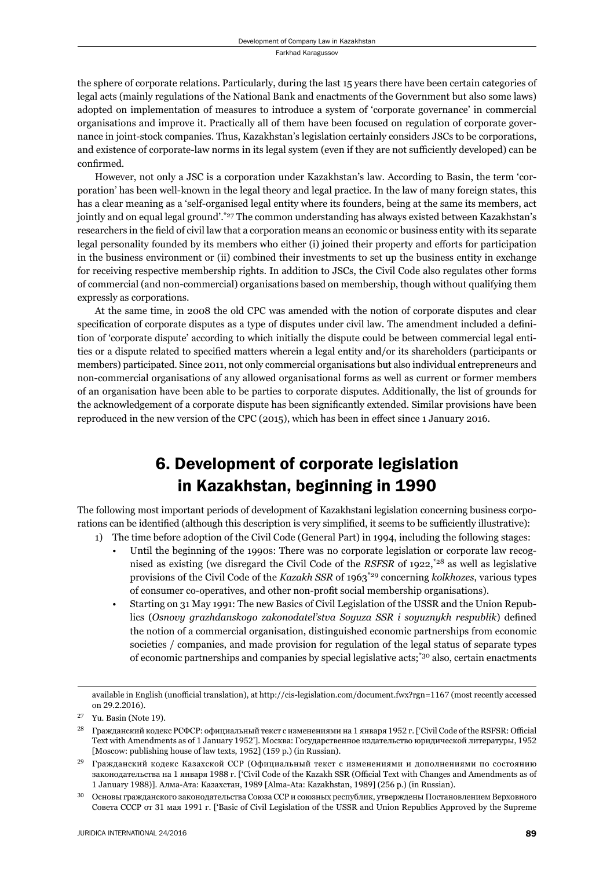the sphere of corporate relations. Particularly, during the last 15 years there have been certain categories of legal acts (mainly regulations of the National Bank and enactments of the Government but also some laws) adopted on implementation of measures to introduce a system of 'corporate governance' in commercial organisations and improve it. Practically all of them have been focused on regulation of corporate governance in joint-stock companies. Thus, Kazakhstan's legislation certainly considers JSCs to be corporations, and existence of corporate-law norms in its legal system (even if they are not sufficiently developed) can be confirmed.

However, not only a JSC is a corporation under Kazakhstan's law. According to Basin, the term 'corporation' has been well-known in the legal theory and legal practice. In the law of many foreign states, this has a clear meaning as a 'self-organised legal entity where its founders, being at the same its members, act jointly and on equal legal ground'.\*27 The common understanding has always existed between Kazakhstan's researchers in the field of civil law that a corporation means an economic or business entity with its separate legal personality founded by its members who either (i) joined their property and efforts for participation in the business environment or (ii) combined their investments to set up the business entity in exchange for receiving respective membership rights. In addition to JSCs, the Civil Code also regulates other forms of commercial (and non-commercial) organisations based on membership, though without qualifying them expressly as corporations.

At the same time, in 2008 the old CPC was amended with the notion of corporate disputes and clear specification of corporate disputes as a type of disputes under civil law. The amendment included a definition of 'corporate dispute' according to which initially the dispute could be between commercial legal entities or a dispute related to specified matters wherein a legal entity and/or its shareholders (participants or members) participated. Since 2011, not only commercial organisations but also individual entrepreneurs and non-commercial organisations of any allowed organisational forms as well as current or former members of an organisation have been able to be parties to corporate disputes. Additionally, the list of grounds for the acknowledgement of a corporate dispute has been significantly extended. Similar provisions have been reproduced in the new version of the CPC (2015), which has been in effect since 1 January 2016.

# 6. Development of corporate legislation in Kazakhstan, beginning in 1990

The following most important periods of development of Kazakhstani legislation concerning business corporations can be identified (although this description is very simplified, it seems to be sufficiently illustrative):

- 1) The time before adoption of the Civil Code (General Part) in 1994, including the following stages:
	- Until the beginning of the 1990s: There was no corporate legislation or corporate law recognised as existing (we disregard the Civil Code of the *RSFSR* of 1922,\*28 as well as legislative provisions of the Civil Code of the *Kazakh SSR* of 1963\*29 concerning *kolkhozes*, various types of consumer co-operatives, and other non-profi t social membership organisations).
	- Starting on 31 May 1991: The new Basics of Civil Legislation of the USSR and the Union Republics (Osnovy grazhdanskogo zakonodateľstva Soyuza SSR i soyuznykh respublik) defined the notion of a commercial organisation, distinguished economic partnerships from economic societies / companies, and made provision for regulation of the legal status of separate types of economic partnerships and companies by special legislative acts;\*30 also, certain enactments

available in English (unofficial translation), at http://cis-legislation.com/document.fwx?rgn=1167 (most recently accessed on 29.2.2016).

 $27$  Yu. Basin (Note 19).

Гражданский кодекс РСФСР: официальный текст с изменениями на 1 января 1952 г. ['Civil Code of the RSFSR: Official Text with Amendments as of 1 January 1952']. Москва: Государственное издательство юридической литературы, 1952 [Moscow: publishing house of law texts, 1952] (159 p.) (in Russian).

 $29$  Гражданский кодекс Казахской ССР (Официальный текст с изменениями и дополнениями по состоянию законодательства на 1 января 1988 г. ['Civil Code of the Kazakh SSR (Official Text with Changes and Amendments as of 1 January 1988)]. Алма-Ата: Казахстан, 1989 [Alma-Ata: Kazakhstan, 1989] (256 р.) (in Russian).

ɴɱ Основы гражданского законодательства Союза ССР и союзных республик, утверждены Постановлением Верховного Совета СССР от 31 мая 1991 г. ['Basic of Civil Legislation of the USSR and Union Republics Approved by the Supreme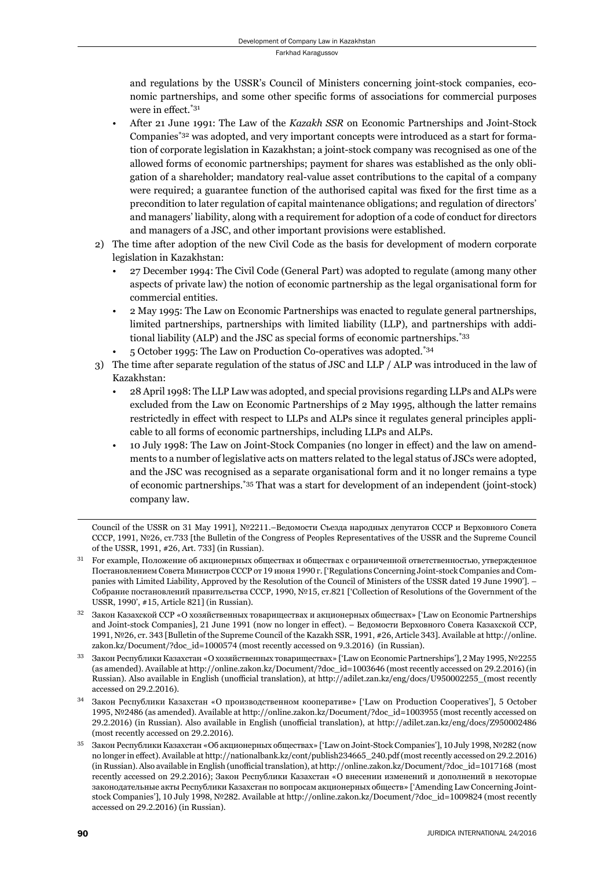and regulations by the USSR's Council of Ministers concerning joint-stock companies, economic partnerships, and some other specific forms of associations for commercial purposes were in effect. $*31$ 

- After 21 June 1991: The Law of the *Kazakh SSR* on Economic Partnerships and Joint-Stock Companies\*32 was adopted, and very important concepts were introduced as a start for formation of corporate legislation in Kazakhstan; a joint-stock company was recognised as one of the allowed forms of economic partnerships; payment for shares was established as the only obligation of a shareholder; mandatory real-value asset contributions to the capital of a company were required; a guarantee function of the authorised capital was fixed for the first time as a precondition to later regulation of capital maintenance obligations; and regulation of directors' and managers' liability, along with a requirement for adoption of a code of conduct for directors and managers of a JSC, and other important provisions were established.
- 2) The time after adoption of the new Civil Code as the basis for development of modern corporate legislation in Kazakhstan:
	- 27 December 1994: The Civil Code (General Part) was adopted to regulate (among many other aspects of private law) the notion of economic partnership as the legal organisational form for commercial entities.
	- 2 May 1995: The Law on Economic Partnerships was enacted to regulate general partnerships, limited partnerships, partnerships with limited liability (LLP), and partnerships with additional liability (ALP) and the JSC as special forms of economic partnerships.\*33
	- 5 October 1995: The Law on Production Co-operatives was adopted.\*34
- 3) The time after separate regulation of the status of JSC and LLP / ALP was introduced in the law of Kazakhstan:
	- 28 April 1998: The LLP Law was adopted, and special provisions regarding LLPs and ALPs were excluded from the Law on Economic Partnerships of 2 May 1995, although the latter remains restrictedly in effect with respect to LLPs and ALPs since it regulates general principles applicable to all forms of economic partnerships, including LLPs and ALPs.
	- 10 July 1998: The Law on Joint-Stock Companies (no longer in effect) and the law on amendments to a number of legislative acts on matters related to the legal status of JSCs were adopted, and the JSC was recognised as a separate organisational form and it no longer remains a type of economic partnerships.\*35 That was a start for development of an independent (joint-stock) company law.

Council of the USSR on 31 May 1991], №2211.–Ведомости Съезда народных депутатов СССР и Верховного Совета CCCP, 1991, Nº26, cr.733 [the Bulletin of the Congress of Peoples Representatives of the USSR and the Supreme Council of the USSR, 1991, #26, Art. 733] (in Russian).

- <sup>31</sup> For example, Положение об акционерных обществах и обществах с ограниченной ответственностью, утвержденное Постановлением Совета Министров СССР от 19 июня 1990 г. ['Regulations Concerning Joint-stock Companies and Companies with Limited Liability, Approved by the Resolution of the Council of Ministers of the USSR dated 19 June 1990']. – Собрание постановлений правительства СССР, 1990, №15, ст.821 ['Collection of Resolutions of the Government of the USSR, 1990', #15, Article 821] (in Russian).
- $32$  Закон Казахской ССР «О хозяйственных товариществах и акционерных обществах» ['Law on Economic Partnerships and Joint-stock Companies], 21 June 1991 (now no longer in effect). – Ведомости Верховного Совета Казахской ССР, 1991, №26, ст. 343 [Bulletin of the Supreme Council of the Kazakh SSR, 1991, #26, Article 343]. Available at http://online. zakon.kz/Document/?doc\_id=1000574 (most recently accessed on 9.3.2016) (in Russian).
- Закон Республики Казахстан «О хозяйственных товариществах» ['Law on Economic Partnerships'], 2 May 1995, №2255 (as amended). Available at http://online.zakon.kz/Document/?doc\_id=1003646 (most recently accessed on 29.2.2016) (in Russian). Also available in English (unofficial translation), at http://adilet.zan.kz/eng/docs/U950002255\_(most recently accessed on 29.2.2016).
- <sup>34</sup> Закон Республики Казахстан «О производственном кооперативе» ['Law on Production Cooperatives'], 5 October 1995, №2486 (as amended). Available at http://online.zakon.kz/Document/?doc\_id=1003955 (most recently accessed on 29.2.2016) (in Russian). Also available in English (unofficial translation), at http://adilet.zan.kz/eng/docs/Z950002486 (most recently accessed on 29.2.2016).
- $35$  Закон Республики Казахстан «Об акционерных обществах» ['Law on Joint-Stock Companies'], 10 July 1998, №282 (now no longer in effect). Available at http://nationalbank.kz/cont/publish234665 240.pdf (most recently accessed on 29.2.2016) (in Russian). Also available in English (unofficial translation), at http://online.zakon.kz/Document/?doc\_id=1017168 (most recently accessed on 29.2.2016); Закон Республики Казахстан «О внесении изменений и дополнений в некоторые законодательные акты Республики Казахстан по вопросам акционерных обществ» ['Amending Law Concerning Jointstock Companies'], 10 July 1998, №282. Available at http://online.zakon.kz/Document/?doc\_id=1009824 (most recently accessed on 29.2.2016) (in Russian).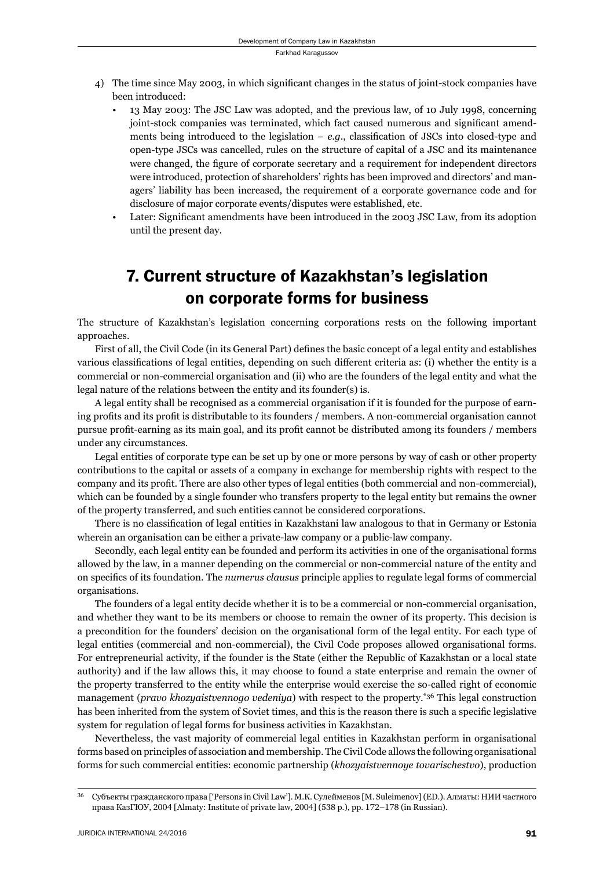- 4) The time since May 2003, in which significant changes in the status of joint-stock companies have been introduced:
	- 13 May 2003: The JSC Law was adopted, and the previous law, of 10 July 1998, concerning joint-stock companies was terminated, which fact caused numerous and significant amendments being introduced to the legislation –  $e.g.,$  classification of JSCs into closed-type and open-type JSCs was cancelled, rules on the structure of capital of a JSC and its maintenance were changed, the figure of corporate secretary and a requirement for independent directors were introduced, protection of shareholders' rights has been improved and directors' and managers' liability has been increased, the requirement of a corporate governance code and for disclosure of major corporate events/disputes were established, etc.
	- Later: Significant amendments have been introduced in the 2003 JSC Law, from its adoption until the present day.

## 7. Current structure of Kazakhstan's legislation on corporate forms for business

The structure of Kazakhstan's legislation concerning corporations rests on the following important approaches.

First of all, the Civil Code (in its General Part) defines the basic concept of a legal entity and establishes various classifications of legal entities, depending on such different criteria as: (i) whether the entity is a commercial or non-commercial organisation and (ii) who are the founders of the legal entity and what the legal nature of the relations between the entity and its founder(s) is.

A legal entity shall be recognised as a commercial organisation if it is founded for the purpose of earning profits and its profit is distributable to its founders / members. A non-commercial organisation cannot pursue profi t-earning as its main goal, and its profi t cannot be distributed among its founders / members under any circumstances.

Legal entities of corporate type can be set up by one or more persons by way of cash or other property contributions to the capital or assets of a company in exchange for membership rights with respect to the company and its profit. There are also other types of legal entities (both commercial and non-commercial), which can be founded by a single founder who transfers property to the legal entity but remains the owner of the property transferred, and such entities cannot be considered corporations.

There is no classification of legal entities in Kazakhstani law analogous to that in Germany or Estonia wherein an organisation can be either a private-law company or a public-law company.

Secondly, each legal entity can be founded and perform its activities in one of the organisational forms allowed by the law, in a manner depending on the commercial or non-commercial nature of the entity and on specifics of its foundation. The *numerus clausus* principle applies to regulate legal forms of commercial organisations.

The founders of a legal entity decide whether it is to be a commercial or non-commercial organisation, and whether they want to be its members or choose to remain the owner of its property. This decision is a precondition for the founders' decision on the organisational form of the legal entity. For each type of legal entities (commercial and non-commercial), the Civil Code proposes allowed organisational forms. For entrepreneurial activity, if the founder is the State (either the Republic of Kazakhstan or a local state authority) and if the law allows this, it may choose to found a state enterprise and remain the owner of the property transferred to the entity while the enterprise would exercise the so-called right of economic management (*pravo khozyaistvennogo vedeniya*) with respect to the property.\*36 This legal construction has been inherited from the system of Soviet times, and this is the reason there is such a specific legislative system for regulation of legal forms for business activities in Kazakhstan.

Nevertheless, the vast majority of commercial legal entities in Kazakhstan perform in organisational forms based on principles of association and membership. The Civil Code allows the following organisational forms for such commercial entities: economic partnership (*khozyaistvennoye tovarischestvo*), production

ɴɷ Субъекты гражданского права ['Persons in Civil Law']. М.К. Сулейменов [M. Suleimenov] (ED.). Алматы: НИИ частного права КазГЮУ, 2004 [Almaty: Institute of private law, 2004] (538 p.), pp. 172-178 (in Russian).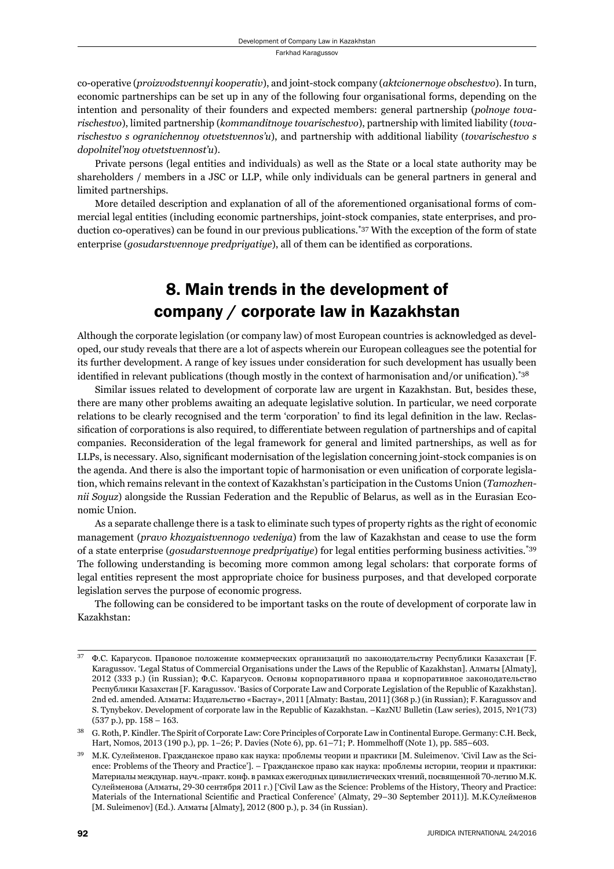co-operative (*proizvodstvennyi kooperativ*), and joint-stock company (*aktcionernoye obschestvo*). In turn, economic partnerships can be set up in any of the following four organisational forms, depending on the intention and personality of their founders and expected members: general partnership (*polnoye tovarischestvo*), limited partnership (*kommanditnoye tovarischestvo*), partnership with limited liability (*tovarischestvo s ogranichennoy otvetstvennos'u*), and partnership with additional liability (*tovarischestvo s dopolnitel'noy otvetstvennost'u*).

Private persons (legal entities and individuals) as well as the State or a local state authority may be shareholders / members in a JSC or LLP, while only individuals can be general partners in general and limited partnerships.

More detailed description and explanation of all of the aforementioned organisational forms of commercial legal entities (including economic partnerships, joint-stock companies, state enterprises, and production co-operatives) can be found in our previous publications.\*37 With the exception of the form of state enterprise (*gosudarstvennoye predpriyatiye*), all of them can be identified as corporations.

## 8. Main trends in the development of company / corporate law in Kazakhstan

Although the corporate legislation (or company law) of most European countries is acknowledged as developed, our study reveals that there are a lot of aspects wherein our European colleagues see the potential for its further development. A range of key issues under consideration for such development has usually been identified in relevant publications (though mostly in the context of harmonisation and/or unification).<sup>\*38</sup>

Similar issues related to development of corporate law are urgent in Kazakhstan. But, besides these, there are many other problems awaiting an adequate legislative solution. In particular, we need corporate relations to be clearly recognised and the term 'corporation' to find its legal definition in the law. Reclassification of corporations is also required, to differentiate between regulation of partnerships and of capital companies. Reconsideration of the legal framework for general and limited partnerships, as well as for LLPs, is necessary. Also, significant modernisation of the legislation concerning joint-stock companies is on the agenda. And there is also the important topic of harmonisation or even unification of corporate legislation, which remains relevant in the context of Kazakhstan's participation in the Customs Union (*Tamozhennii Soyuz*) alongside the Russian Federation and the Republic of Belarus, as well as in the Eurasian Economic Union.

As a separate challenge there is a task to eliminate such types of property rights as the right of economic management (*pravo khozyaistvennogo vedeniya*) from the law of Kazakhstan and cease to use the form of a state enterprise (*gosudarstvennoye predpriyatiye*) for legal entities performing business activities.\*39 The following understanding is becoming more common among legal scholars: that corporate forms of legal entities represent the most appropriate choice for business purposes, and that developed corporate legislation serves the purpose of economic progress.

The following can be considered to be important tasks on the route of development of corporate law in Kazakhstan:

ɴɸ Ф.С. Карагусов. Правовое положение коммерческих организаций по законодательству Республики Казахстан [F. Karagussov. 'Legal Status of Commercial Organisations under the Laws of the Republic of Kazakhstan]. Алматы [Almaty], 2012 (333 p.) (in Russian); Ф.С. Карагусов. Основы корпоративного права и корпоративное законодательство Республики Казахстан [F. Karagussov. 'Basics of Corporate Law and Corporate Legislation of the Republic of Kazakhstan]. 2nd ed. amended. Алматы: Издательство «Бастау», 2011 [Almaty: Bastau, 2011] (368 р.) (in Russian); F. Karagussov and S. Tynybekov. Development of corporate law in the Republic of Kazakhstan. –KazNU Bulletin (Law series), 2015, №1(73)  $(537 p.), pp. 158 - 163.$ 

<sup>&</sup>lt;sup>38</sup> G. Roth, P. Kindler. The Spirit of Corporate Law: Core Principles of Corporate Law in Continental Europe. Germany: C.H. Beck, Hart, Nomos, 2013 (190 p.), pp. 1–26; P. Davies (Note 6), pp. 61–71; P. Hommelhoff (Note 1), pp. 585–603.

 $39$  M.K. Сулейменов. Гражданское право как наука: проблемы теории и практики [M. Suleimenov. 'Civil Law as the Science: Problems of the Theory and Practice']. – Гражданское право как наука: проблемы истории, теории и практики: Материалы междунар. науч.-практ. конф. в рамках ежегодных цивилистических чтений, посвященной 70-летию М.К. Сулейменова (Алматы, 29-30 сентября 2011 г.) ['Civil Law as the Science: Problems of the History, Theory and Practice: Materials of the International Scientific and Practical Conference' (Almaty, 29-30 September 2011)]. М.К.Сулейменов [M. Suleimenov] (Ed.). Алматы [Almaty], 2012 (800 p.), p. 34 (in Russian).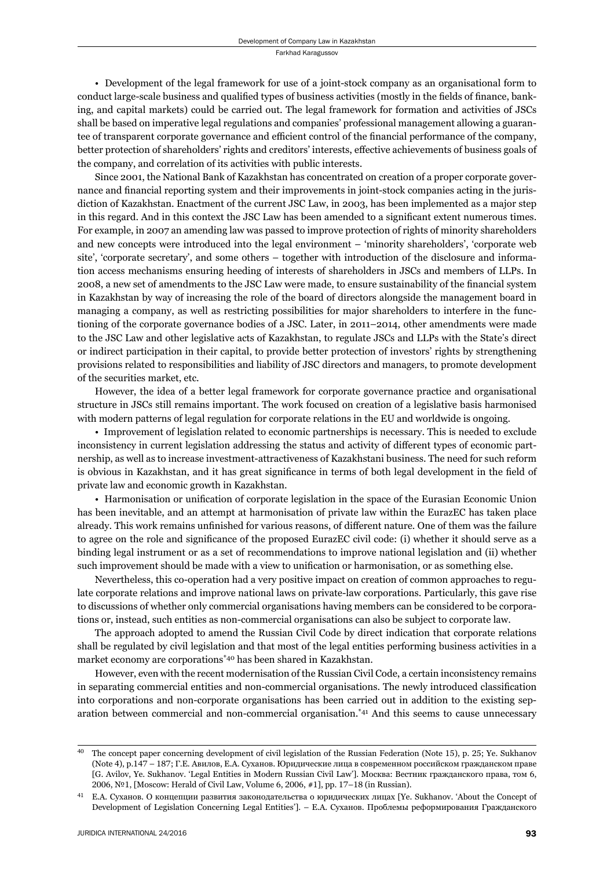• Development of the legal framework for use of a joint-stock company as an organisational form to conduct large-scale business and qualified types of business activities (mostly in the fields of finance, banking, and capital markets) could be carried out. The legal framework for formation and activities of JSCs shall be based on imperative legal regulations and companies' professional management allowing a guarantee of transparent corporate governance and efficient control of the financial performance of the company, better protection of shareholders' rights and creditors' interests, effective achievements of business goals of the company, and correlation of its activities with public interests.

Since 2001, the National Bank of Kazakhstan has concentrated on creation of a proper corporate governance and financial reporting system and their improvements in joint-stock companies acting in the jurisdiction of Kazakhstan. Enactment of the current JSC Law, in 2003, has been implemented as a major step in this regard. And in this context the JSC Law has been amended to a significant extent numerous times. For example, in 2007 an amending law was passed to improve protection of rights of minority shareholders and new concepts were introduced into the legal environment – 'minority shareholders', 'corporate web site', 'corporate secretary', and some others – together with introduction of the disclosure and information access mechanisms ensuring heeding of interests of shareholders in JSCs and members of LLPs. In 2008, a new set of amendments to the JSC Law were made, to ensure sustainability of the financial system in Kazakhstan by way of increasing the role of the board of directors alongside the management board in managing a company, as well as restricting possibilities for major shareholders to interfere in the functioning of the corporate governance bodies of a JSC. Later, in 2011–2014, other amendments were made to the JSC Law and other legislative acts of Kazakhstan, to regulate JSCs and LLPs with the State's direct or indirect participation in their capital, to provide better protection of investors' rights by strengthening provisions related to responsibilities and liability of JSC directors and managers, to promote development of the securities market, etc.

However, the idea of a better legal framework for corporate governance practice and organisational structure in JSCs still remains important. The work focused on creation of a legislative basis harmonised with modern patterns of legal regulation for corporate relations in the EU and worldwide is ongoing.

• Improvement of legislation related to economic partnerships is necessary. This is needed to exclude inconsistency in current legislation addressing the status and activity of different types of economic partnership, as well as to increase investment-attractiveness of Kazakhstani business. The need for such reform is obvious in Kazakhstan, and it has great significance in terms of both legal development in the field of private law and economic growth in Kazakhstan.

• Harmonisation or unification of corporate legislation in the space of the Eurasian Economic Union has been inevitable, and an attempt at harmonisation of private law within the EurazEC has taken place already. This work remains unfinished for various reasons, of different nature. One of them was the failure to agree on the role and significance of the proposed EurazEC civil code: (i) whether it should serve as a binding legal instrument or as a set of recommendations to improve national legislation and (ii) whether such improvement should be made with a view to unification or harmonisation, or as something else.

Nevertheless, this co-operation had a very positive impact on creation of common approaches to regulate corporate relations and improve national laws on private-law corporations. Particularly, this gave rise to discussions of whether only commercial organisations having members can be considered to be corporations or, instead, such entities as non-commercial organisations can also be subject to corporate law.

The approach adopted to amend the Russian Civil Code by direct indication that corporate relations shall be regulated by civil legislation and that most of the legal entities performing business activities in a market economy are corporations\*40 has been shared in Kazakhstan.

However, even with the recent modernisation of the Russian Civil Code, a certain inconsistency remains in separating commercial entities and non-commercial organisations. The newly introduced classification into corporations and non-corporate organisations has been carried out in addition to the existing separation between commercial and non-commercial organisation.\*41 And this seems to cause unnecessary

<sup>&</sup>lt;sup>40</sup> The concept paper concerning development of civil legislation of the Russian Federation (Note 15), p. 25; Ye. Sukhanov (Note 4), p.147 – 187; Г.Е. Авилов, Е.А. Суханов. Юридические лица в современном российском гражданском праве [G. Avilov, Ye. Sukhanov. 'Legal Entities in Modern Russian Civil Law']. Москва: Вестник гражданского права, том 6, 2006, №1, [Moscow: Herald of Civil Law, Volume 6, 2006, #1], pp. 17-18 (in Russian).

<sup>&</sup>lt;sup>41</sup> Е.А. Суханов. О концепции развития законодательства о юридических лицах [Ye. Sukhanov. 'About the Concept of Development of Legislation Concerning Legal Entities']. – Е.А. Суханов. Проблемы реформирования Гражданского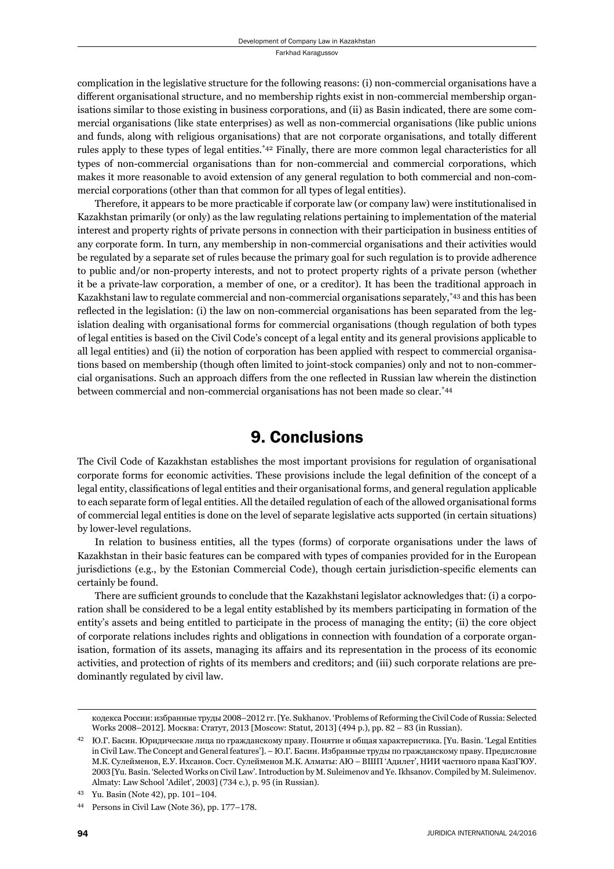complication in the legislative structure for the following reasons: (i) non-commercial organisations have a different organisational structure, and no membership rights exist in non-commercial membership organisations similar to those existing in business corporations, and (ii) as Basin indicated, there are some commercial organisations (like state enterprises) as well as non-commercial organisations (like public unions and funds, along with religious organisations) that are not corporate organisations, and totally different rules apply to these types of legal entities.\*42 Finally, there are more common legal characteristics for all types of non-commercial organisations than for non-commercial and commercial corporations, which makes it more reasonable to avoid extension of any general regulation to both commercial and non-commercial corporations (other than that common for all types of legal entities).

Therefore, it appears to be more practicable if corporate law (or company law) were institutionalised in Kazakhstan primarily (or only) as the law regulating relations pertaining to implementation of the material interest and property rights of private persons in connection with their participation in business entities of any corporate form. In turn, any membership in non-commercial organisations and their activities would be regulated by a separate set of rules because the primary goal for such regulation is to provide adherence to public and/or non-property interests, and not to protect property rights of a private person (whether it be a private-law corporation, a member of one, or a creditor). It has been the traditional approach in Kazakhstani law to regulate commercial and non-commercial organisations separately,\*43 and this has been reflected in the legislation: (i) the law on non-commercial organisations has been separated from the legislation dealing with organisational forms for commercial organisations (though regulation of both types of legal entities is based on the Civil Code's concept of a legal entity and its general provisions applicable to all legal entities) and (ii) the notion of corporation has been applied with respect to commercial organisations based on membership (though often limited to joint-stock companies) only and not to non-commercial organisations. Such an approach differs from the one reflected in Russian law wherein the distinction between commercial and non-commercial organisations has not been made so clear.\*44

#### 9. Conclusions

The Civil Code of Kazakhstan establishes the most important provisions for regulation of organisational corporate forms for economic activities. These provisions include the legal definition of the concept of a legal entity, classifications of legal entities and their organisational forms, and general regulation applicable to each separate form of legal entities. All the detailed regulation of each of the allowed organisational forms of commercial legal entities is done on the level of separate legislative acts supported (in certain situations) by lower-level regulations.

In relation to business entities, all the types (forms) of corporate organisations under the laws of Kazakhstan in their basic features can be compared with types of companies provided for in the European jurisdictions (e.g., by the Estonian Commercial Code), though certain jurisdiction-specific elements can certainly be found.

There are sufficient grounds to conclude that the Kazakhstani legislator acknowledges that: (i) a corporation shall be considered to be a legal entity established by its members participating in formation of the entity's assets and being entitled to participate in the process of managing the entity; (ii) the core object of corporate relations includes rights and obligations in connection with foundation of a corporate organisation, formation of its assets, managing its affairs and its representation in the process of its economic activities, and protection of rights of its members and creditors; and (iii) such corporate relations are predominantly regulated by civil law.

кодекса России: избранные труды 2008-2012 гг. [Ye. Sukhanov. 'Problems of Reforming the Civil Code of Russia: Selected Works 2008-2012]. Москва: Статут, 2013 [Moscow: Statut, 2013] (494 p.), pp. 82 - 83 (in Russian).

<sup>&</sup>lt;sup>42</sup> Ю.Г. Басин. Юридические лица по гражданскому праву. Понятие и общая характеристика. [Yu. Basin. 'Legal Entities in Civil Law. The Concept and General features']. – Ю.Г. Басин. Избранные труды по гражданскому праву. Предисловие М.К. Сулейменов, Е.У. Ихсанов. Сост. Сулейменов М.К. Алматы: АЮ – ВШП 'Адилет', НИИ частного права КазГЮУ. ɳɱɱɴ [Yu. Basin. 'Selected Works on Civil Law'. Introduction by M. Suleimenov and Ye. Ikhsanov. Compiled by M. Suleimenov. Almaty: Law School 'Adilet', 2003] (734 c.), p. 95 (in Russian).

<sup>&</sup>lt;sup>43</sup> Yu. Basin (Note 42), pp. 101-104.

<sup>&</sup>lt;sup>44</sup> Persons in Civil Law (Note 36), pp. 177–178.